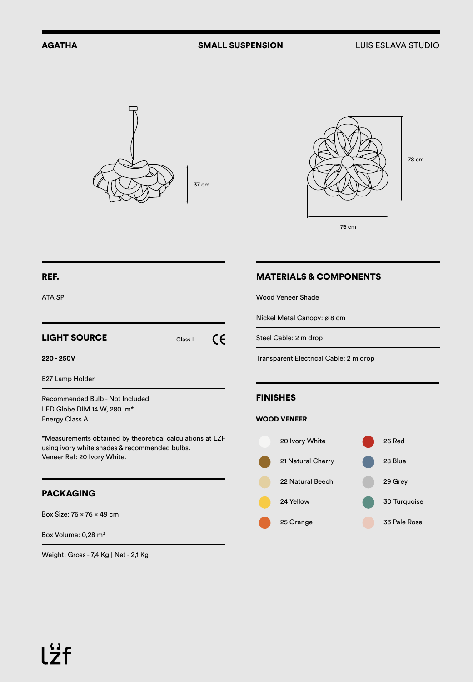



## REF.

ATA SP

#### LIGHT SOURCE  $\epsilon$ Class I **220 - 250V**

E27 Lamp Holder

Recommended Bulb - Not Included LED Globe DIM 14 W, 280 lm\* Energy Class A

\*Measurements obtained by theoretical calculations at LZF using ivory white shades & recommended bulbs. Veneer Ref: 20 Ivory White.

## PACKAGING

Box Size: 76 x 76 x 49 cm

Box Volume: 0,28 m<sup>3</sup>

Weight: Gross - 7,4 Kg | Net - 2,1 Kg

## MATERIALS & COMPONENTS

Wood Veneer Shade

Nickel Metal Canopy: ø 8 cm

Steel Cable: 2 m drop

Transparent Electrical Cable: 2 m drop

## FINISHES

#### WOOD VENEER

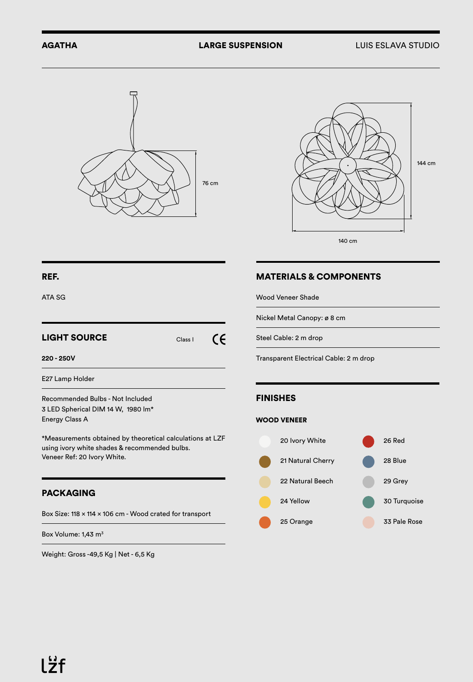



### REF.

ATA SG

# LIGHT SOURCE Class I  $\epsilon$

**220 - 250V**

E27 Lamp Holder

Recommended Bulbs - Not Included 3 LED Spherical DIM 14 W, 1980 lm\* Energy Class A

\*Measurements obtained by theoretical calculations at LZF using ivory white shades & recommended bulbs. Veneer Ref: 20 Ivory White.

## PACKAGING

Box Size: 118 x 114 x 106 cm - Wood crated for transport

Box Volume: 1,43 m<sup>3</sup>

Weight: Gross -49,5 Kg | Net - 6,5 Kg

## MATERIALS & COMPONENTS

Wood Veneer Shade

Nickel Metal Canopy: ø 8 cm

Steel Cable: 2 m drop

Transparent Electrical Cable: 2 m drop

#### FINISHES

#### WOOD VENEER